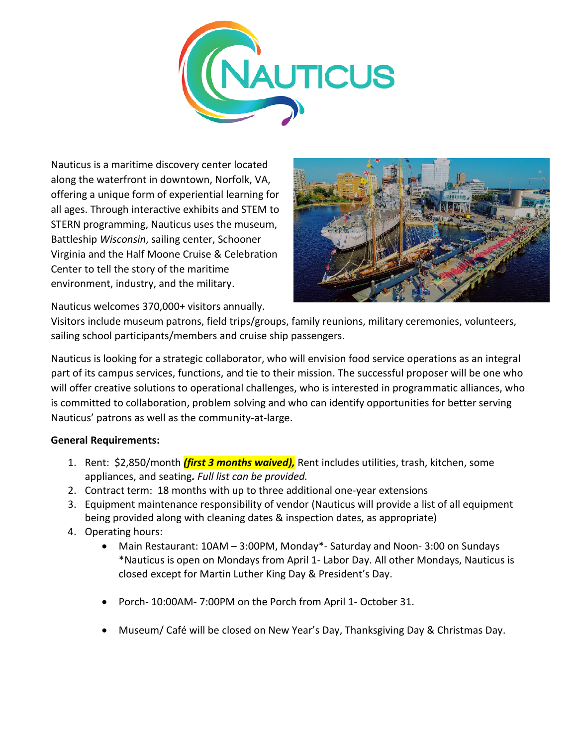

Nauticus is a maritime discovery center located along the waterfront in downtown, Norfolk, VA, offering a unique form of experiential learning for all ages. Through interactive exhibits and STEM to STERN programming, Nauticus uses the museum, Battleship *Wisconsin*, sailing center, Schooner Virginia and the Half Moone Cruise & Celebration Center to tell the story of the maritime environment, industry, and the military.



Nauticus welcomes 370,000+ visitors annually.

Visitors include museum patrons, field trips/groups, family reunions, military ceremonies, volunteers, sailing school participants/members and cruise ship passengers.

Nauticus is looking for a strategic collaborator, who will envision food service operations as an integral part of its campus services, functions, and tie to their mission. The successful proposer will be one who will offer creative solutions to operational challenges, who is interested in programmatic alliances, who is committed to collaboration, problem solving and who can identify opportunities for better serving Nauticus' patrons as well as the community-at-large.

## **General Requirements:**

- 1. Rent: \$2,850/month *(first 3 months waived),* Rent includes utilities, trash, kitchen, some appliances, and seating*. Full list can be provided.*
- 2. Contract term: 18 months with up to three additional one-year extensions
- 3. Equipment maintenance responsibility of vendor (Nauticus will provide a list of all equipment being provided along with cleaning dates & inspection dates, as appropriate)
- 4. Operating hours:
	- Main Restaurant: 10AM 3:00PM, Monday\*- Saturday and Noon- 3:00 on Sundays \*Nauticus is open on Mondays from April 1- Labor Day. All other Mondays, Nauticus is closed except for Martin Luther King Day & President's Day.
	- Porch- 10:00AM- 7:00PM on the Porch from April 1- October 31.
	- Museum/ Café will be closed on New Year's Day, Thanksgiving Day & Christmas Day.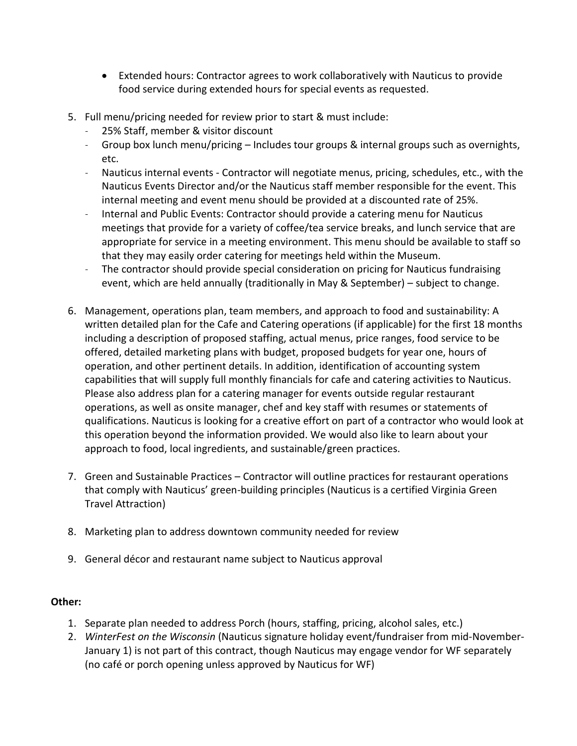- Extended hours: Contractor agrees to work collaboratively with Nauticus to provide food service during extended hours for special events as requested.
- 5. Full menu/pricing needed for review prior to start & must include:
	- 25% Staff, member & visitor discount
	- Group box lunch menu/pricing Includes tour groups & internal groups such as overnights, etc.
	- Nauticus internal events Contractor will negotiate menus, pricing, schedules, etc., with the Nauticus Events Director and/or the Nauticus staff member responsible for the event. This internal meeting and event menu should be provided at a discounted rate of 25%.
	- Internal and Public Events: Contractor should provide a catering menu for Nauticus meetings that provide for a variety of coffee/tea service breaks, and lunch service that are appropriate for service in a meeting environment. This menu should be available to staff so that they may easily order catering for meetings held within the Museum.
	- The contractor should provide special consideration on pricing for Nauticus fundraising event, which are held annually (traditionally in May & September) – subject to change.
- 6. Management, operations plan, team members, and approach to food and sustainability: A written detailed plan for the Cafe and Catering operations (if applicable) for the first 18 months including a description of proposed staffing, actual menus, price ranges, food service to be offered, detailed marketing plans with budget, proposed budgets for year one, hours of operation, and other pertinent details. In addition, identification of accounting system capabilities that will supply full monthly financials for cafe and catering activities to Nauticus. Please also address plan for a catering manager for events outside regular restaurant operations, as well as onsite manager, chef and key staff with resumes or statements of qualifications. Nauticus is looking for a creative effort on part of a contractor who would look at this operation beyond the information provided. We would also like to learn about your approach to food, local ingredients, and sustainable/green practices.
- 7. Green and Sustainable Practices Contractor will outline practices for restaurant operations that comply with Nauticus' green-building principles (Nauticus is a certified Virginia Green Travel Attraction)
- 8. Marketing plan to address downtown community needed for review
- 9. General décor and restaurant name subject to Nauticus approval

## **Other:**

- 1. Separate plan needed to address Porch (hours, staffing, pricing, alcohol sales, etc.)
- 2. *WinterFest on the Wisconsin* (Nauticus signature holiday event/fundraiser from mid-November-January 1) is not part of this contract, though Nauticus may engage vendor for WF separately (no café or porch opening unless approved by Nauticus for WF)